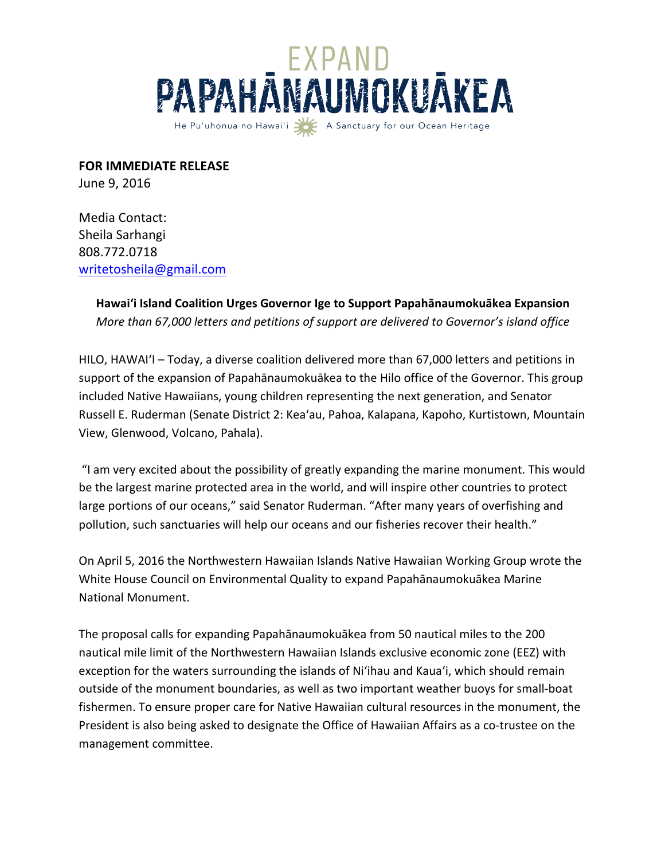

**FOR IMMEDIATE RELEASE** 

June 9, 2016

Media Contact: Sheila Sarhangi 808.772.0718 writetosheila@gmail.com

> **Hawai'i Island Coalition Urges Governor Ige to Support Papahānaumokuākea Expansion** *More than 67,000 letters and petitions of support are delivered to Governor's island office*

HILO, HAWAI'I – Today, a diverse coalition delivered more than 67,000 letters and petitions in support of the expansion of Papahānaumokuākea to the Hilo office of the Governor. This group included Native Hawaiians, young children representing the next generation, and Senator Russell E. Ruderman (Senate District 2: Kea'au, Pahoa, Kalapana, Kapoho, Kurtistown, Mountain View, Glenwood, Volcano, Pahala).

"I am very excited about the possibility of greatly expanding the marine monument. This would be the largest marine protected area in the world, and will inspire other countries to protect large portions of our oceans," said Senator Ruderman. "After many years of overfishing and pollution, such sanctuaries will help our oceans and our fisheries recover their health."

On April 5, 2016 the Northwestern Hawaiian Islands Native Hawaiian Working Group wrote the White House Council on Environmental Quality to expand Papahānaumokuākea Marine National Monument. 

The proposal calls for expanding Papahānaumokuākea from 50 nautical miles to the 200 nautical mile limit of the Northwestern Hawaiian Islands exclusive economic zone (EEZ) with exception for the waters surrounding the islands of Ni'ihau and Kaua'i, which should remain outside of the monument boundaries, as well as two important weather buoys for small-boat fishermen. To ensure proper care for Native Hawaiian cultural resources in the monument, the President is also being asked to designate the Office of Hawaiian Affairs as a co-trustee on the management committee.